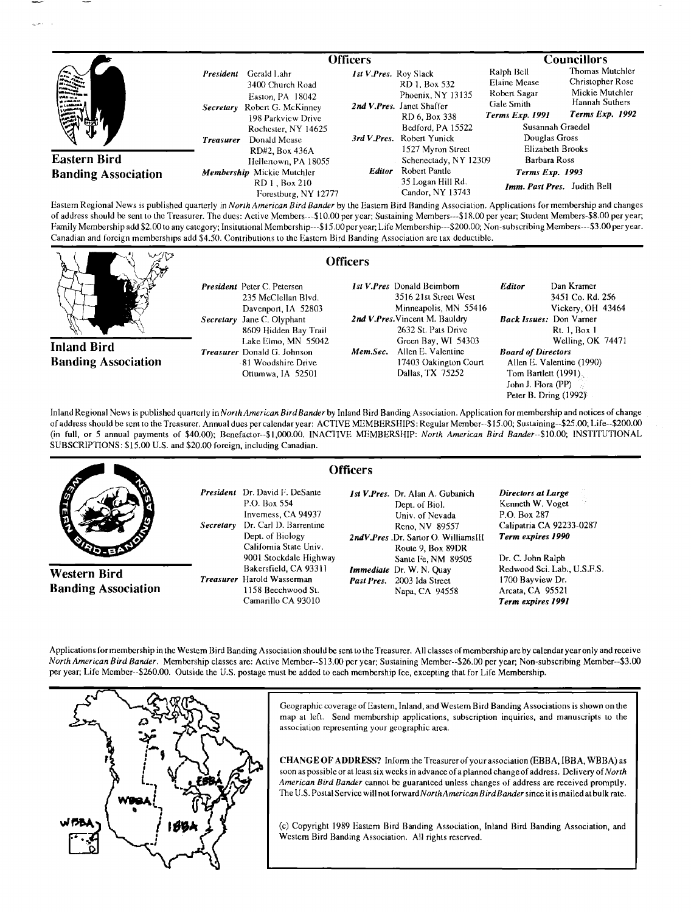|                                                       |                                                                                                                                                                                   | <b>Officers</b>                                                                                                                                                                  |                                                                                                                         | <b>Councillors</b>                                                                          |  |
|-------------------------------------------------------|-----------------------------------------------------------------------------------------------------------------------------------------------------------------------------------|----------------------------------------------------------------------------------------------------------------------------------------------------------------------------------|-------------------------------------------------------------------------------------------------------------------------|---------------------------------------------------------------------------------------------|--|
| <b>Allegation</b><br>was<br><b>Comment</b><br>з,<br>业 | President<br>Gerald Lahr<br>3400 Church Road<br>Easton, PA 18042<br>Secretary Robert G. McKinney<br>198 Parkview Drive<br>Rochester, NY 14625<br>Donald Mease<br><b>Treasurer</b> | 1st V.Pres. Roy Slack<br>RD 1. Box 532<br>Phoenix, NY 13135<br>2nd V.Pres. Janet Shaffer<br>RD 6, Box 338<br>Bedford, PA 15522<br>3rd V.Pres. Robert Yunick<br>1527 Myron Street | Ralph Bell<br>Elaine Mease<br>Robert Sagar<br>Gale Smith<br><b>Terms Exp. 1991</b><br>Susannah Graedel<br>Douglas Gross | Thomas Mutchler<br>Christopher Rose<br>Mickie Mutchler<br>Hannah Suthers<br>Terms Exp. 1992 |  |
| <b>Eastern Bird</b><br><b>Banding Association</b>     | RD#2. Box 436A<br>Hellenown, PA 18055<br>Membership Mickie Mutchler<br>RD 1, Box 210<br>Forestburg, NY 12777                                                                      | Schenectady, NY 12309<br>Robert Pantle<br><b>Editor</b><br>35 Logan Hill Rd.<br>Candor, NY 13743                                                                                 | Elizabeth Brooks<br>Barbara Ross<br><b>Terms Exp. 1993</b><br>Imm. Past Pres. Judith Bell                               |                                                                                             |  |

**Eastern Regional News is published quarterly in North American Bird Bander by the Eastern Bird Banding Association. Applications for membership and changes**  of address should be sent to the Treasurer. The dues: Active Members---\$10.00 per year; Sustaining Members---\$18.00 per year; Student Members-\$8.00 per year; **Family Membership add \$2.00 to any category; In situtional Mcmbership---\$15.00per year; Life Membership---S200.00; Non-subscribing Members---S3.00 per year.**  Canadian and foreign memberships add \$4.50. Contributions to the Eastern Bird Banding Association are tax deductible.

**()fficers** 

**Inland Bird Banding Association**  **President Peter C. Petersen 235 McClellan Blvd. Davenport, IA 52803 Secretary Jane C. Olyphant 8609 Hidden Bay Trail I.ake Elmo, MN 55042 Treasurer Donald G. Johnson ß 81 Woodshire Drive Ottumwa, IA 52501** 

**1st V. Pres Donald Beimbom 3516 21st Street West Minneapolis, MN 55416**  2nd V.Pres. Vincent M. Bauldry **2632 St. Pats Drive Green Bay, WI 54303**  Mem.Sec. Allen E. Valentine **17403 Oakington Court Dallas, TX 75252** 

**Editor Dan Kramer 3451 Co. Rd. 256 Vickery, OH 43464 Back Issues: Don Varner Rt. 1, Box 1 Welling, OK 74471 Board of Directors Allen E. Valentine (1990) Tom Bartlett (1991), John J. Flora (PP) Peter B. Dring (1992)'** 

Inland Regional News is published quarterly in North American Bird Bander by Inland Bird Banding Association. Application for membership and notices of change of address should be sent to the Treasurer. Annual dues per calendar year: ACTIVE MEMBERSHIPS: Regular Member--\$15.00; Sustaining--\$25.00; Life--\$200.00 (in full, or 5 annual payments of \$40.00); Benefactor--\$1,000.00. INACTIVE MEMBERSHIP: North American Bird Bander--\$10.00; INSTITUTIONAL **SUBSCRIPTIONS: \$15.00 U.S. and \$20.00 foreign, including Canadian.** 



Applications for membership in the Western Bird Banding Association should be sent to the Treasurer. All classes of membership are by calendar year only and receive **North American Bird Bander. Membership classes are: Active Member--S13.00 per year; Sustaining Member--S26.00 per year; Non-subscribing Member--S3.00 per year; Life Member--S260.00. Outside the U.S. postage must be added to each membership fee, excepting that for Life Membership.** 



Geographic coverage of Eastern, Inland, and Western Bird Banding Associations is shown on the **map at left. Send membership applications, subscription inquiries, and manuscripts to the association representing your geographic area.** 

**CHANGE OF ADDRESS? Inform the Treasurer of your association (EBBA, IBBA, WBBA) as soon as possible or at least six weeks in advance of a planned change of address. Delivery of North American Bird Bander cannot be guaranteed unless changes of address are received promptly. The U.S. Postal Service will not forward NorthAmerican BirdBander since it is mailed at bulk rate.** 

**(c) Copyright 1989 Eastern Bird Banding Association, Inland Bird Banding Association, and Westem Bird Banding Association. All rights reserved.**